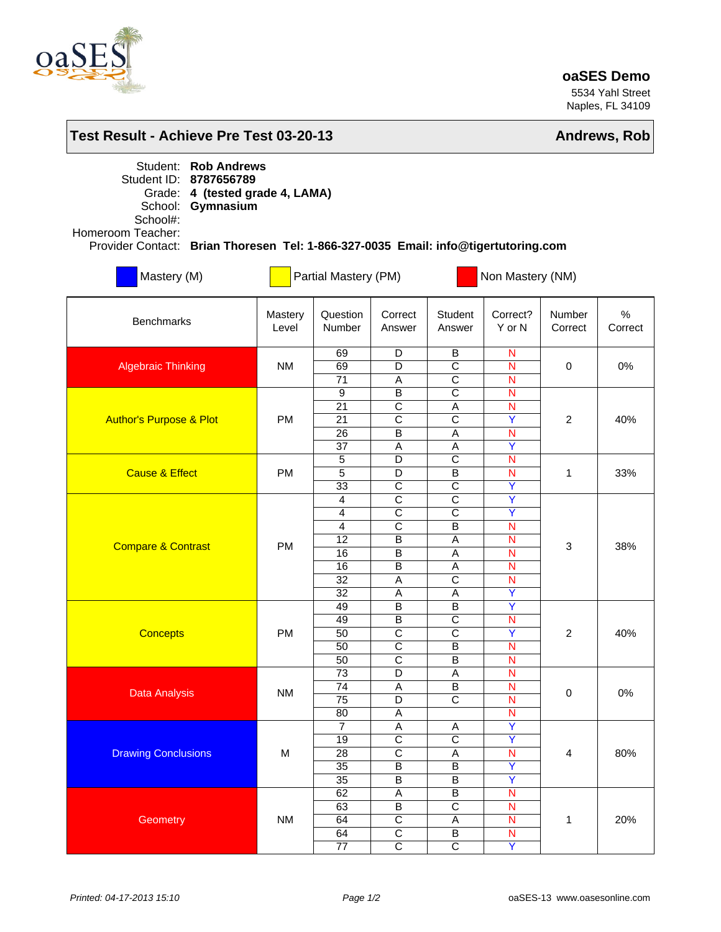

## **oaSES Demo**

5534 Yahl Street Naples, FL 34109

| Test Result - Achieve Pre Test 03-20-13                                                                                                                                                                                             | Andrews, Rob     |                                                                                  |                                                                                                                                |                                                                                                                                                      |                                                                                                    |                         |                 |  |  |  |  |  |  |
|-------------------------------------------------------------------------------------------------------------------------------------------------------------------------------------------------------------------------------------|------------------|----------------------------------------------------------------------------------|--------------------------------------------------------------------------------------------------------------------------------|------------------------------------------------------------------------------------------------------------------------------------------------------|----------------------------------------------------------------------------------------------------|-------------------------|-----------------|--|--|--|--|--|--|
| Student: Rob Andrews<br>Student ID: 8787656789<br>4 (tested grade 4, LAMA)<br>Grade:<br>Gymnasium<br>School:<br>School#:<br>Homeroom Teacher:<br>Provider Contact: Brian Thoresen Tel: 1-866-327-0035 Email: info@tigertutoring.com |                  |                                                                                  |                                                                                                                                |                                                                                                                                                      |                                                                                                    |                         |                 |  |  |  |  |  |  |
| Mastery (M)                                                                                                                                                                                                                         |                  | Partial Mastery (PM)                                                             |                                                                                                                                | Non Mastery (NM)                                                                                                                                     |                                                                                                    |                         |                 |  |  |  |  |  |  |
| <b>Benchmarks</b>                                                                                                                                                                                                                   | Mastery<br>Level | Question<br>Number                                                               | Correct<br>Answer                                                                                                              | Student<br>Answer                                                                                                                                    | Correct?<br>Y or N                                                                                 | Number<br>Correct       | $\%$<br>Correct |  |  |  |  |  |  |
| <b>Algebraic Thinking</b>                                                                                                                                                                                                           | <b>NM</b>        | 69<br>69<br>71                                                                   | D<br>D<br>Α                                                                                                                    | В<br>$\overline{\text{c}}$<br>$\overline{\text{c}}$                                                                                                  | $\mathsf{N}$<br>N<br>N                                                                             | $\mathbf 0$             | 0%              |  |  |  |  |  |  |
| <b>Author's Purpose &amp; Plot</b>                                                                                                                                                                                                  | <b>PM</b>        | $\overline{9}$<br>$\overline{21}$<br>$\overline{21}$<br>26<br>37                 | $\overline{B}$<br>$\overline{\mathsf{c}}$<br>$\overline{\mathsf{c}}$<br>B<br>$\overline{A}$                                    | $\overline{\text{c}}$<br>$\overline{A}$<br>$\overline{\mathrm{c}}$<br>A<br>$\overline{A}$                                                            | $\mathsf{N}$<br>$\overline{\mathsf{N}}$<br>$\overline{\mathsf{Y}}$<br>N<br>$\overline{\mathsf{Y}}$ | 2                       | 40%             |  |  |  |  |  |  |
| <b>Cause &amp; Effect</b>                                                                                                                                                                                                           | <b>PM</b>        | 5<br>5<br>33                                                                     | D<br>D<br>$\overline{C}$                                                                                                       | $\overline{\text{c}}$<br>B<br>$\overline{C}$                                                                                                         | $\mathsf{N}$<br>$\overline{N}$<br>Y                                                                | 1                       | 33%             |  |  |  |  |  |  |
| <b>Compare &amp; Contrast</b>                                                                                                                                                                                                       | <b>PM</b>        | 4<br>$\overline{4}$<br>$\overline{4}$<br>12<br>16<br>16<br>$\overline{32}$<br>32 | $\overline{\mathrm{c}}$<br>$\overline{\text{c}}$<br>$\overline{\mathrm{c}}$<br>$\overline{B}$<br>$\overline{B}$<br>B<br>A<br>Α | $\overline{\mathrm{c}}$<br>$\overline{\text{c}}$<br>$\overline{\mathsf{B}}$<br>A<br>$\overline{A}$<br>$\overline{A}$<br>$\overline{\mathsf{c}}$<br>Α | Ÿ<br>$\overline{\mathsf{Y}}$<br>$\overline{N}$<br>$\mathsf{N}$<br>N<br>$\mathsf{N}$<br>N<br>Ÿ      | 3                       | 38%             |  |  |  |  |  |  |
| <b>Concepts</b>                                                                                                                                                                                                                     | <b>PM</b>        | 49<br>49<br>50<br>50<br>50                                                       | B<br>B<br>$\overline{\text{c}}$<br>$\overline{\mathsf{c}}$<br>$\overline{C}$                                                   | B<br>$\overline{\mathrm{c}}$<br>$\overline{\text{c}}$<br>$\overline{\mathsf{B}}$<br>$\overline{B}$                                                   | $\overline{Y}$<br>N<br>$\overline{\mathsf{Y}}$<br>$\overline{N}$<br>$\overline{\mathsf{N}}$        | 2                       | 40%             |  |  |  |  |  |  |
| <b>Data Analysis</b>                                                                                                                                                                                                                | <b>NM</b>        | 73<br>$\overline{74}$<br>75<br>80                                                | D<br>$\overline{A}$<br>D<br>A                                                                                                  | $\overline{A}$<br>$\overline{\mathsf{B}}$<br>$\overline{\mathsf{c}}$                                                                                 | N<br>$\overline{\mathsf{N}}$<br>$\mathsf{N}$<br>$\overline{\mathsf{N}}$                            | $\pmb{0}$               | $0\%$           |  |  |  |  |  |  |
| <b>Drawing Conclusions</b>                                                                                                                                                                                                          | M                | $\overline{7}$<br>19<br>28<br>35<br>$\overline{35}$                              | A<br>$\overline{\mathsf{c}}$<br>$\overline{\mathsf{c}}$<br>$\overline{B}$<br>$\overline{B}$                                    | A<br>$\overline{\mathrm{c}}$<br>A<br>$\overline{B}$<br>$\overline{B}$                                                                                | $\overline{Y}$<br>$\overline{\mathsf{Y}}$<br>$\mathsf{N}$<br>Ÿ<br>$\overline{\mathsf{Y}}$          | $\overline{\mathbf{4}}$ | 80%             |  |  |  |  |  |  |
| Geometry                                                                                                                                                                                                                            | <b>NM</b>        | 62<br>63<br>64<br>64<br>77                                                       | $\overline{A}$<br>$\overline{\mathsf{B}}$<br>$\overline{C}$<br>$\overline{\mathsf{c}}$<br>$\overline{\mathrm{c}}$              | $\overline{B}$<br>$\overline{\text{c}}$<br>A<br>B<br>$\overline{\mathsf{c}}$                                                                         | $\overline{\mathsf{N}}$<br>$\overline{\mathsf{N}}$<br>$\mathsf{N}$<br>N<br>$\overline{\mathsf{Y}}$ | 1                       | 20%             |  |  |  |  |  |  |